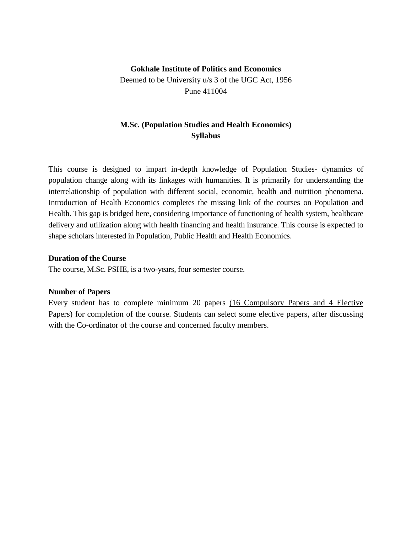## **Gokhale Institute of Politics and Economics**

Deemed to be University u/s 3 of the UGC Act, 1956 Pune 411004

## **M.Sc. (Population Studies and Health Economics) Syllabus**

This course is designed to impart in-depth knowledge of Population Studies- dynamics of population change along with its linkages with humanities. It is primarily for understanding the interrelationship of population with different social, economic, health and nutrition phenomena. Introduction of Health Economics completes the missing link of the courses on Population and Health. This gap is bridged here, considering importance of functioning of health system, healthcare delivery and utilization along with health financing and health insurance. This course is expected to shape scholars interested in Population, Public Health and Health Economics.

#### **Duration of the Course**

The course, M.Sc. PSHE, is a two-years, four semester course.

#### **Number of Papers**

Every student has to complete minimum 20 papers (16 Compulsory Papers and 4 Elective Papers) for completion of the course. Students can select some elective papers, after discussing with the Co-ordinator of the course and concerned faculty members.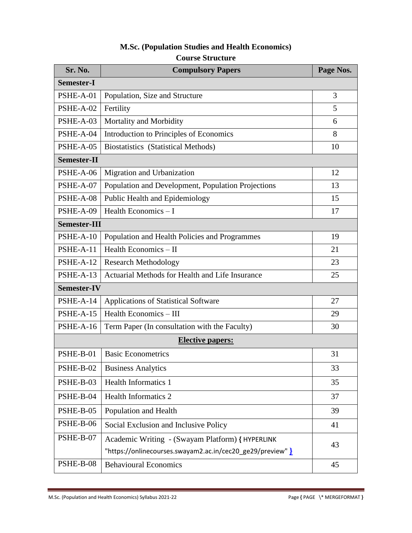| <b>M.Sc. (Population Studies and Health Economics)</b> |  |  |  |
|--------------------------------------------------------|--|--|--|
|--------------------------------------------------------|--|--|--|

| Sr. No.                 | <b>Compulsory Papers</b>                                   | Page Nos. |  |
|-------------------------|------------------------------------------------------------|-----------|--|
| Semester-I              |                                                            |           |  |
| PSHE-A-01               | Population, Size and Structure                             | 3         |  |
| PSHE-A-02               | Fertility                                                  | 5         |  |
| PSHE-A-03               | Mortality and Morbidity                                    | 6         |  |
| PSHE-A-04               | Introduction to Principles of Economics                    | 8         |  |
| PSHE-A-05               | <b>Biostatistics</b> (Statistical Methods)                 | 10        |  |
| <b>Semester-II</b>      |                                                            |           |  |
| PSHE-A-06               | Migration and Urbanization                                 | 12        |  |
| PSHE-A-07               | Population and Development, Population Projections         | 13        |  |
| PSHE-A-08               | Public Health and Epidemiology                             | 15        |  |
| PSHE-A-09               | Health Economics $-1$                                      | 17        |  |
| Semester-III            |                                                            |           |  |
| PSHE-A-10               | Population and Health Policies and Programmes              | 19        |  |
| PSHE-A-11               | Health Economics - II                                      | 21        |  |
| PSHE-A-12               | <b>Research Methodology</b>                                | 23        |  |
| PSHE-A-13               | Actuarial Methods for Health and Life Insurance            | 25        |  |
| <b>Semester-IV</b>      |                                                            |           |  |
| PSHE-A-14               | Applications of Statistical Software                       | 27        |  |
| PSHE-A-15               | Health Economics - III                                     | 29        |  |
| PSHE-A-16               | Term Paper (In consultation with the Faculty)              | 30        |  |
| <b>Elective papers:</b> |                                                            |           |  |
| PSHE-B-01               | <b>Basic Econometrics</b>                                  | 31        |  |
| PSHE-B-02               | <b>Business Analytics</b>                                  | 33        |  |
| PSHE-B-03               | <b>Health Informatics 1</b>                                | 35        |  |
| PSHE-B-04               | <b>Health Informatics 2</b>                                | 37        |  |
| PSHE-B-05               | Population and Health                                      | 39        |  |
| PSHE-B-06               | Social Exclusion and Inclusive Policy                      | 41        |  |
| $PSHE-B-07$             | Academic Writing - (Swayam Platform) { HYPERLINK           | 43        |  |
|                         | "https://onlinecourses.swayam2.ac.in/cec20_ge29/preview" } |           |  |
| PSHE-B-08               | <b>Behavioural Economics</b>                               | 45        |  |

and the control of the control of the control of the control of the control of the control of the control of the

<u> 1989 - Andrea Stadt Britain, amerikansk politik (d. 1989)</u>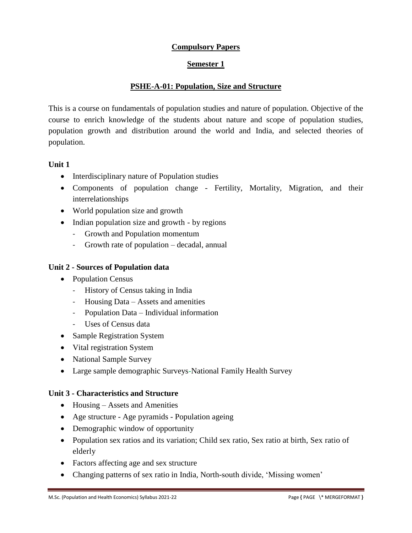# **Compulsory Papers**

# **Semester 1**

# **PSHE-A-01: Population, Size and Structure**

This is a course on fundamentals of population studies and nature of population. Objective of the course to enrich knowledge of the students about nature and scope of population studies, population growth and distribution around the world and India, and selected theories of population.

#### **Unit 1**

- Interdisciplinary nature of Population studies
- Components of population change Fertility, Mortality, Migration, and their interrelationships
- World population size and growth
- Indian population size and growth by regions
	- Growth and Population momentum
	- Growth rate of population decadal, annual

#### **Unit 2 - Sources of Population data**

- Population Census
	- History of Census taking in India
	- Housing Data Assets and amenities
	- Population Data Individual information
	- Uses of Census data
- Sample Registration System
- Vital registration System
- National Sample Survey
- Large sample demographic Surveys-National Family Health Survey

#### **Unit 3 - Characteristics and Structure**

- Housing Assets and Amenities
- Age structure Age pyramids Population ageing
- Demographic window of opportunity
- Population sex ratios and its variation; Child sex ratio, Sex ratio at birth, Sex ratio of elderly
- Factors affecting age and sex structure
- Changing patterns of sex ratio in India, North-south divide, 'Missing women'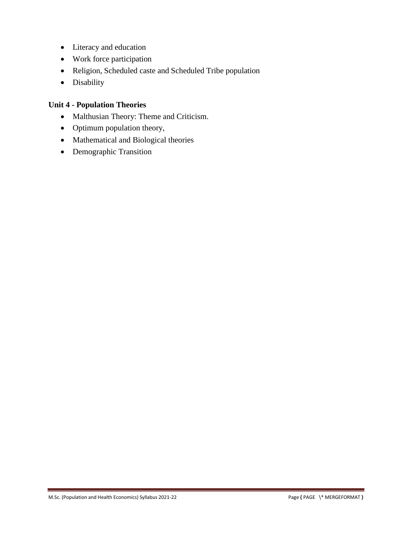- Literacy and education
- Work force participation
- Religion, Scheduled caste and Scheduled Tribe population
- Disability

## **Unit 4 - Population Theories**

- Malthusian Theory: Theme and Criticism.
- Optimum population theory,
- Mathematical and Biological theories
- Demographic Transition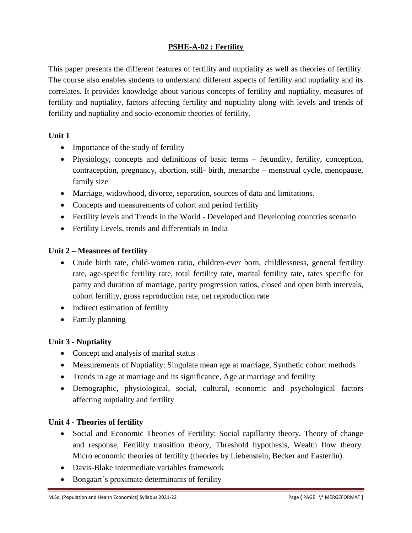# **PSHE-A-02 : Fertility**

This paper presents the different features of fertility and nuptiality as well as theories of fertility. The course also enables students to understand different aspects of fertility and nuptiality and its correlates. It provides knowledge about various concepts of fertility and nuptiality, measures of fertility and nuptiality, factors affecting fertility and nuptiality along with levels and trends of fertility and nuptiality and socio-economic theories of fertility.

## **Unit 1**

- Importance of the study of fertility
- Physiology, concepts and definitions of basic terms fecundity, fertility, conception, contraception, pregnancy, abortion, still- birth, menarche – menstrual cycle, menopause, family size
- Marriage, widowhood, divorce, separation, sources of data and limitations.
- Concepts and measurements of cohort and period fertility
- Fertility levels and Trends in the World Developed and Developing countries scenario
- Fertility Levels, trends and differentials in India

## **Unit 2 – Measures of fertility**

- Crude birth rate, child-women ratio, children-ever born, childlessness, general fertility rate, age-specific fertility rate, total fertility rate, marital fertility rate, rates specific for parity and duration of marriage, parity progression ratios, closed and open birth intervals, cohort fertility, gross reproduction rate, net reproduction rate
- Indirect estimation of fertility
- Family planning

# **Unit 3 - Nuptiality**

- Concept and analysis of marital status
- Measurements of Nuptiality: Singulate mean age at marriage, Synthetic cohort methods
- Trends in age at marriage and its significance, Age at marriage and fertility
- Demographic, physiological, social, cultural, economic and psychological factors affecting nuptiality and fertility

#### **Unit 4 - Theories of fertility**

- Social and Economic Theories of Fertility: Social capillarity theory, Theory of change and response, Fertility transition theory, Threshold hypothesis, Wealth flow theory. Micro economic theories of fertility (theories by Liebenstein, Becker and Easterlin).
- Davis-Blake intermediate variables framework
- Bongaart's proximate determinants of fertility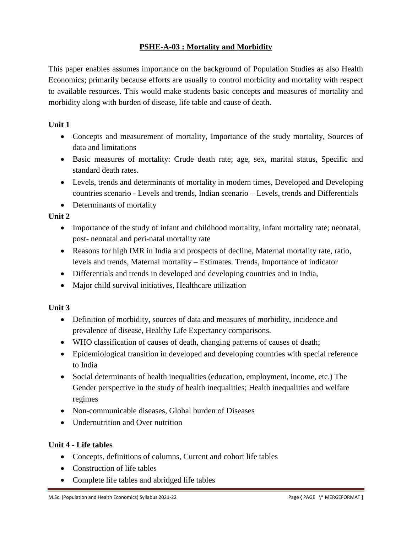# **PSHE-A-03 : Mortality and Morbidity**

This paper enables assumes importance on the background of Population Studies as also Health Economics; primarily because efforts are usually to control morbidity and mortality with respect to available resources. This would make students basic concepts and measures of mortality and morbidity along with burden of disease, life table and cause of death.

## **Unit 1**

- Concepts and measurement of mortality, Importance of the study mortality, Sources of data and limitations
- Basic measures of mortality: Crude death rate; age, sex, marital status, Specific and standard death rates.
- Levels, trends and determinants of mortality in modern times, Developed and Developing countries scenario - Levels and trends, Indian scenario – Levels, trends and Differentials
- Determinants of mortality

# **Unit 2**

- Importance of the study of infant and childhood mortality, infant mortality rate; neonatal, post- neonatal and peri-natal mortality rate
- Reasons for high IMR in India and prospects of decline, Maternal mortality rate, ratio, levels and trends, Maternal mortality – Estimates. Trends, Importance of indicator
- Differentials and trends in developed and developing countries and in India,
- Major child survival initiatives, Healthcare utilization

# **Unit 3**

- Definition of morbidity, sources of data and measures of morbidity, incidence and prevalence of disease, Healthy Life Expectancy comparisons.
- WHO classification of causes of death, changing patterns of causes of death;
- Epidemiological transition in developed and developing countries with special reference to India
- Social determinants of health inequalities (education, employment, income, etc.) The Gender perspective in the study of health inequalities; Health inequalities and welfare regimes
- Non-communicable diseases, Global burden of Diseases
- Undernutrition and Over nutrition

# **Unit 4 - Life tables**

- Concepts, definitions of columns, Current and cohort life tables
- Construction of life tables
- Complete life tables and abridged life tables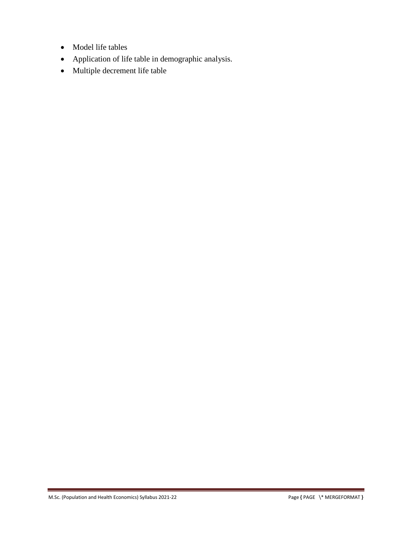- Model life tables
- Application of life table in demographic analysis.
- Multiple decrement life table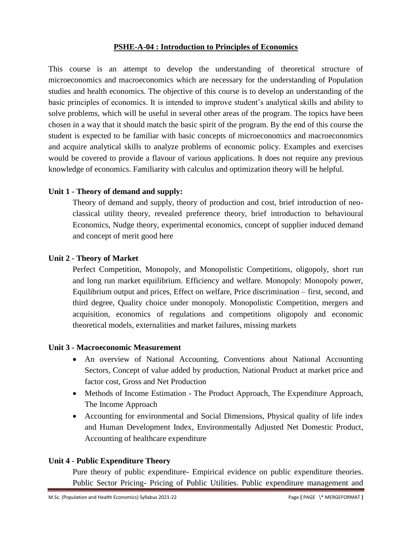## **PSHE-A-04 : Introduction to Principles of Economics**

This course is an attempt to develop the understanding of theoretical structure of microeconomics and macroeconomics which are necessary for the understanding of Population studies and health economics. The objective of this course is to develop an understanding of the basic principles of economics. It is intended to improve student's analytical skills and ability to solve problems, which will be useful in several other areas of the program. The topics have been chosen in a way that it should match the basic spirit of the program. By the end of this course the student is expected to be familiar with basic concepts of microeconomics and macroeconomics and acquire analytical skills to analyze problems of economic policy. Examples and exercises would be covered to provide a flavour of various applications. It does not require any previous knowledge of economics. Familiarity with calculus and optimization theory will be helpful.

#### **Unit 1 - Theory of demand and supply:**

Theory of demand and supply, theory of production and cost, brief introduction of neoclassical utility theory, revealed preference theory, brief introduction to behavioural Economics, Nudge theory, experimental economics, concept of supplier induced demand and concept of merit good here

#### **Unit 2 - Theory of Market**

Perfect Competition, Monopoly, and Monopolistic Competitions, oligopoly, short run and long run market equilibrium. Efficiency and welfare. Monopoly: Monopoly power, Equilibrium output and prices, Effect on welfare, Price discrimination – first, second, and third degree, Quality choice under monopoly. Monopolistic Competition, mergers and acquisition, economics of regulations and competitions oligopoly and economic theoretical models, externalities and market failures, missing markets

#### **Unit 3 - Macroeconomic Measurement**

- An overview of National Accounting, Conventions about National Accounting Sectors, Concept of value added by production, National Product at market price and factor cost, Gross and Net Production
- Methods of Income Estimation The Product Approach, The Expenditure Approach, The Income Approach
- Accounting for environmental and Social Dimensions, Physical quality of life index and Human Development Index, Environmentally Adjusted Net Domestic Product, Accounting of healthcare expenditure

#### **Unit 4 - Public Expenditure Theory**

Pure theory of public expenditure- Empirical evidence on public expenditure theories. Public Sector Pricing- Pricing of Public Utilities. Public expenditure management and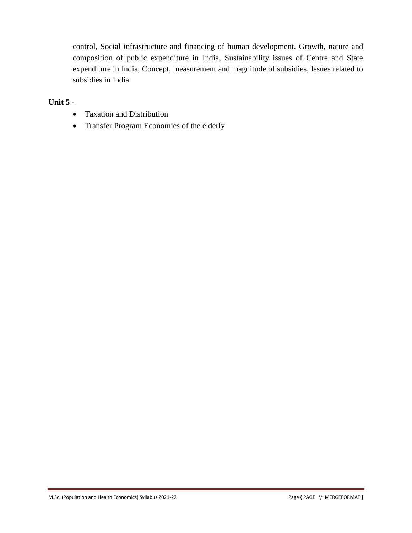control, Social infrastructure and financing of human development. Growth, nature and composition of public expenditure in India, Sustainability issues of Centre and State expenditure in India, Concept, measurement and magnitude of subsidies, Issues related to subsidies in India

#### **Unit 5 -**

- Taxation and Distribution
- Transfer Program Economies of the elderly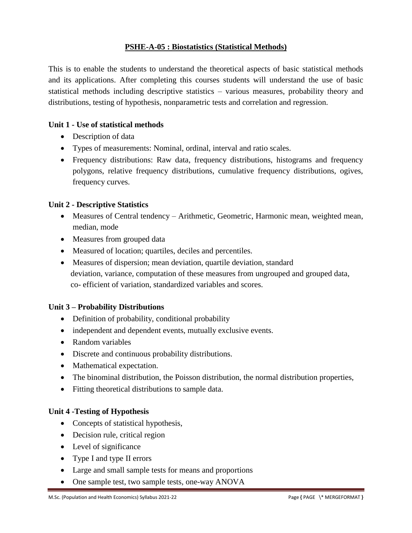## **PSHE-A-05 : Biostatistics (Statistical Methods)**

This is to enable the students to understand the theoretical aspects of basic statistical methods and its applications. After completing this courses students will understand the use of basic statistical methods including descriptive statistics – various measures, probability theory and distributions, testing of hypothesis, nonparametric tests and correlation and regression.

#### **Unit 1 - Use of statistical methods**

- Description of data
- Types of measurements: Nominal, ordinal, interval and ratio scales.
- Frequency distributions: Raw data, frequency distributions, histograms and frequency polygons, relative frequency distributions, cumulative frequency distributions, ogives, frequency curves.

#### **Unit 2 - Descriptive Statistics**

- Measures of Central tendency Arithmetic, Geometric, Harmonic mean, weighted mean, median, mode
- Measures from grouped data
- Measured of location; quartiles, deciles and percentiles.
- Measures of dispersion; mean deviation, quartile deviation, standard deviation, variance, computation of these measures from ungrouped and grouped data, co- efficient of variation, standardized variables and scores.

#### **Unit 3 – Probability Distributions**

- Definition of probability, conditional probability
- independent and dependent events, mutually exclusive events.
- Random variables
- Discrete and continuous probability distributions.
- Mathematical expectation.
- The binominal distribution, the Poisson distribution, the normal distribution properties,
- Fitting theoretical distributions to sample data.

#### **Unit 4 -Testing of Hypothesis**

- Concepts of statistical hypothesis,
- Decision rule, critical region
- Level of significance
- Type I and type II errors
- Large and small sample tests for means and proportions
- One sample test, two sample tests, one-way ANOVA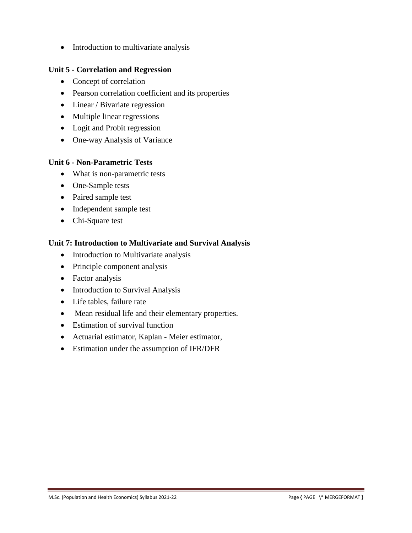• Introduction to multivariate analysis

#### **Unit 5 - Correlation and Regression**

- Concept of correlation
- Pearson correlation coefficient and its properties
- Linear / Bivariate regression
- Multiple linear regressions
- Logit and Probit regression
- One-way Analysis of Variance

#### **Unit 6 - Non-Parametric Tests**

- What is non-parametric tests
- One-Sample tests
- Paired sample test
- Independent sample test
- Chi-Square test

#### **Unit 7: Introduction to Multivariate and Survival Analysis**

- Introduction to Multivariate analysis
- Principle component analysis
- Factor analysis
- Introduction to Survival Analysis
- Life tables, failure rate
- Mean residual life and their elementary properties.
- Estimation of survival function
- Actuarial estimator, Kaplan Meier estimator,
- Estimation under the assumption of IFR/DFR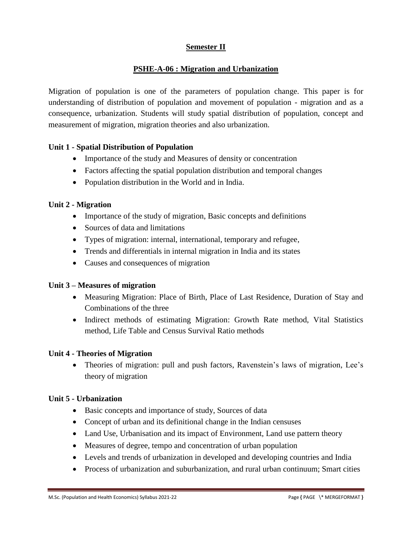# **Semester II**

## **PSHE-A-06 : Migration and Urbanization**

Migration of population is one of the parameters of population change. This paper is for understanding of distribution of population and movement of population - migration and as a consequence, urbanization. Students will study spatial distribution of population, concept and measurement of migration, migration theories and also urbanization.

#### **Unit 1 - Spatial Distribution of Population**

- Importance of the study and Measures of density or concentration
- Factors affecting the spatial population distribution and temporal changes
- Population distribution in the World and in India.

#### **Unit 2 - Migration**

- Importance of the study of migration, Basic concepts and definitions
- Sources of data and limitations
- Types of migration: internal, international, temporary and refugee,
- Trends and differentials in internal migration in India and its states
- Causes and consequences of migration

#### **Unit 3 – Measures of migration**

- Measuring Migration: Place of Birth, Place of Last Residence, Duration of Stay and Combinations of the three
- Indirect methods of estimating Migration: Growth Rate method, Vital Statistics method, Life Table and Census Survival Ratio methods

#### **Unit 4 - Theories of Migration**

 Theories of migration: pull and push factors, Ravenstein's laws of migration, Lee's theory of migration

#### **Unit 5 - Urbanization**

- Basic concepts and importance of study, Sources of data
- Concept of urban and its definitional change in the Indian censuses
- Land Use, Urbanisation and its impact of Environment, Land use pattern theory
- Measures of degree, tempo and concentration of urban population
- Levels and trends of urbanization in developed and developing countries and India
- Process of urbanization and suburbanization, and rural urban continuum; Smart cities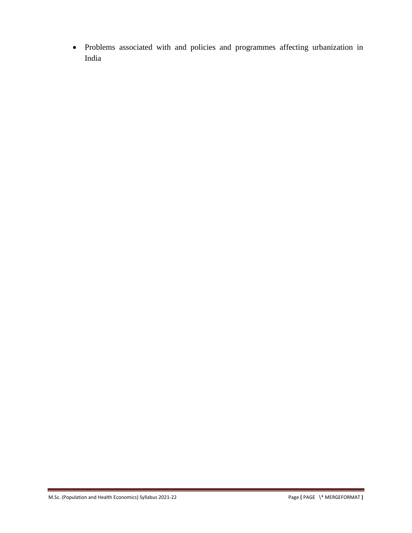Problems associated with and policies and programmes affecting urbanization in India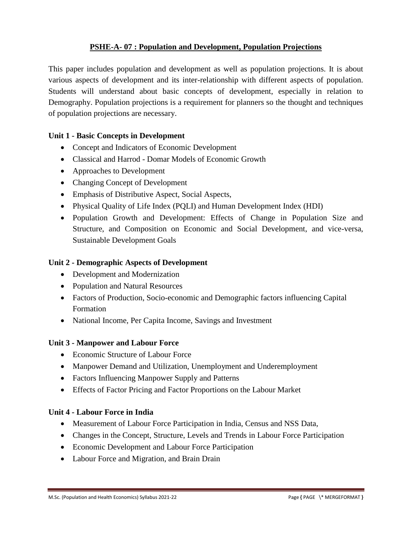# **PSHE-A- 07 : Population and Development, Population Projections**

This paper includes population and development as well as population projections. It is about various aspects of development and its inter-relationship with different aspects of population. Students will understand about basic concepts of development, especially in relation to Demography. Population projections is a requirement for planners so the thought and techniques of population projections are necessary.

## **Unit 1 - Basic Concepts in Development**

- Concept and Indicators of Economic Development
- Classical and Harrod Domar Models of Economic Growth
- Approaches to Development
- Changing Concept of Development
- Emphasis of Distributive Aspect, Social Aspects,
- Physical Quality of Life Index (PQLI) and Human Development Index (HDI)
- Population Growth and Development: Effects of Change in Population Size and Structure, and Composition on Economic and Social Development, and vice-versa, Sustainable Development Goals

#### **Unit 2 - Demographic Aspects of Development**

- Development and Modernization
- Population and Natural Resources
- Factors of Production, Socio-economic and Demographic factors influencing Capital Formation
- National Income, Per Capita Income, Savings and Investment

#### **Unit 3 - Manpower and Labour Force**

- Economic Structure of Labour Force
- Manpower Demand and Utilization, Unemployment and Underemployment
- Factors Influencing Manpower Supply and Patterns
- Effects of Factor Pricing and Factor Proportions on the Labour Market

#### **Unit 4 - Labour Force in India**

- Measurement of Labour Force Participation in India, Census and NSS Data,
- Changes in the Concept, Structure, Levels and Trends in Labour Force Participation
- Economic Development and Labour Force Participation
- Labour Force and Migration, and Brain Drain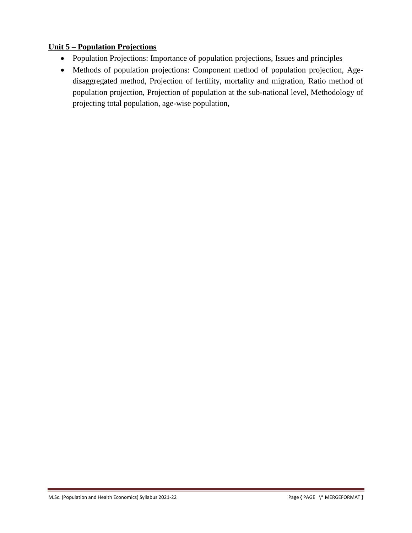## **Unit 5 – Population Projections**

- Population Projections: Importance of population projections, Issues and principles
- Methods of population projections: Component method of population projection, Agedisaggregated method, Projection of fertility, mortality and migration, Ratio method of population projection, Projection of population at the sub-national level, Methodology of projecting total population, age-wise population,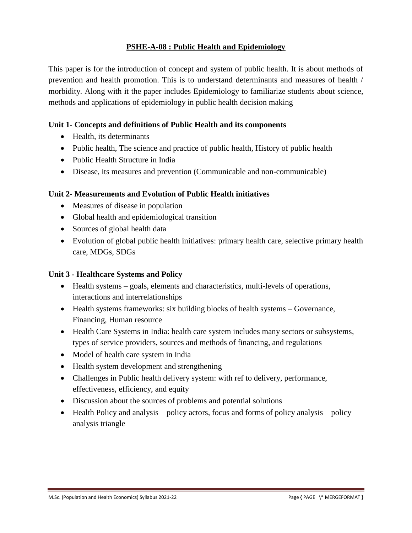## **PSHE-A-08 : Public Health and Epidemiology**

This paper is for the introduction of concept and system of public health. It is about methods of prevention and health promotion. This is to understand determinants and measures of health / morbidity. Along with it the paper includes Epidemiology to familiarize students about science, methods and applications of epidemiology in public health decision making

## **Unit 1- Concepts and definitions of Public Health and its components**

- Health, its determinants
- Public health, The science and practice of public health, History of public health
- Public Health Structure in India
- Disease, its measures and prevention (Communicable and non-communicable)

#### **Unit 2- Measurements and Evolution of Public Health initiatives**

- Measures of disease in population
- Global health and epidemiological transition
- Sources of global health data
- Evolution of global public health initiatives: primary health care, selective primary health care, MDGs, SDGs

#### **Unit 3 - Healthcare Systems and Policy**

- Health systems goals, elements and characteristics, multi-levels of operations, interactions and interrelationships
- Health systems frameworks: six building blocks of health systems Governance, Financing, Human resource
- Health Care Systems in India: health care system includes many sectors or subsystems, types of service providers, sources and methods of financing, and regulations
- Model of health care system in India
- Health system development and strengthening
- Challenges in Public health delivery system: with ref to delivery, performance, effectiveness, efficiency, and equity
- Discussion about the sources of problems and potential solutions
- Health Policy and analysis policy actors, focus and forms of policy analysis policy analysis triangle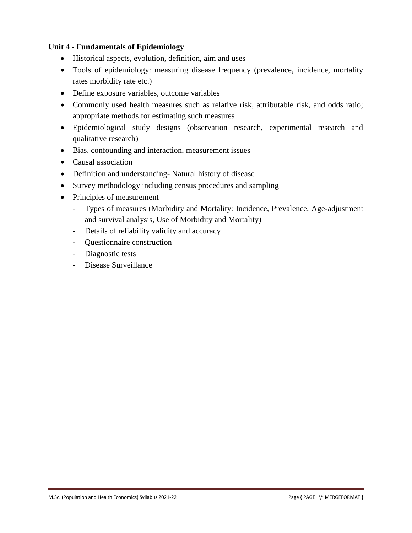#### **Unit 4 - Fundamentals of Epidemiology**

- Historical aspects, evolution, definition, aim and uses
- Tools of epidemiology: measuring disease frequency (prevalence, incidence, mortality rates morbidity rate etc.)
- Define exposure variables, outcome variables
- Commonly used health measures such as relative risk, attributable risk, and odds ratio; appropriate methods for estimating such measures
- Epidemiological study designs (observation research, experimental research and qualitative research)
- Bias, confounding and interaction, measurement issues
- Causal association
- Definition and understanding-Natural history of disease
- Survey methodology including census procedures and sampling
- Principles of measurement
	- Types of measures (Morbidity and Mortality: Incidence, Prevalence, Age-adjustment and survival analysis, Use of Morbidity and Mortality)
	- Details of reliability validity and accuracy
	- Questionnaire construction
	- Diagnostic tests
	- Disease Surveillance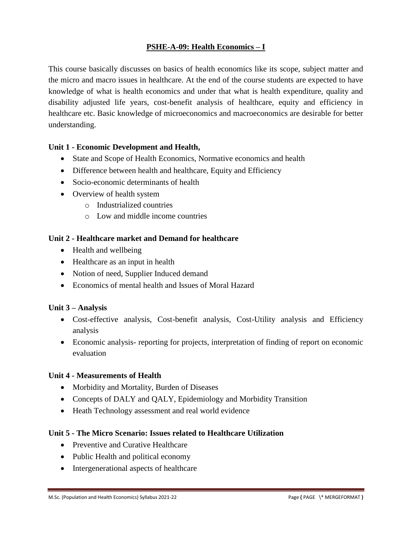# **PSHE-A-09: Health Economics – I**

This course basically discusses on basics of health economics like its scope, subject matter and the micro and macro issues in healthcare. At the end of the course students are expected to have knowledge of what is health economics and under that what is health expenditure, quality and disability adjusted life years, cost-benefit analysis of healthcare, equity and efficiency in healthcare etc. Basic knowledge of microeconomics and macroeconomics are desirable for better understanding.

#### **Unit 1 - Economic Development and Health,**

- State and Scope of Health Economics, Normative economics and health
- Difference between health and healthcare, Equity and Efficiency
- Socio-economic determinants of health
- Overview of health system
	- o Industrialized countries
	- o Low and middle income countries

#### **Unit 2 - Healthcare market and Demand for healthcare**

- Health and wellbeing
- Healthcare as an input in health
- Notion of need, Supplier Induced demand
- Economics of mental health and Issues of Moral Hazard

#### **Unit 3 – Analysis**

- Cost-effective analysis, Cost-benefit analysis, Cost-Utility analysis and Efficiency analysis
- Economic analysis- reporting for projects, interpretation of finding of report on economic evaluation

#### **Unit 4 - Measurements of Health**

- Morbidity and Mortality, Burden of Diseases
- Concepts of DALY and QALY, Epidemiology and Morbidity Transition
- Heath Technology assessment and real world evidence

#### **Unit 5 - The Micro Scenario: Issues related to Healthcare Utilization**

- Preventive and Curative Healthcare
- Public Health and political economy
- Intergenerational aspects of healthcare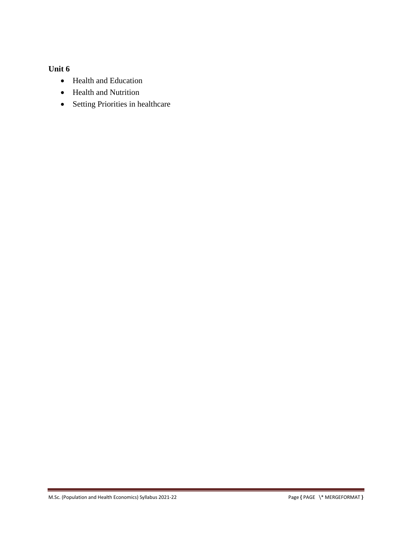# **Unit 6**

- Health and Education
- Health and Nutrition
- Setting Priorities in healthcare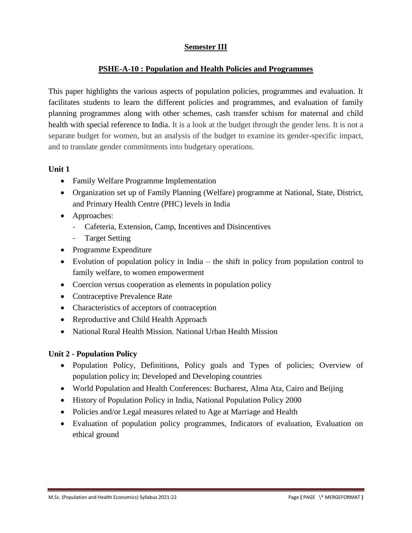## **Semester III**

## **PSHE-A-10 : Population and Health Policies and Programmes**

This paper highlights the various aspects of population policies, programmes and evaluation. It facilitates students to learn the different policies and programmes, and evaluation of family planning programmes along with other schemes, cash transfer schism for maternal and child health with special reference to India. It is a look at the budget through the gender lens. It is not a separate budget for women, but an analysis of the budget to examine its gender-specific impact, and to translate gender commitments into budgetary operations.

#### **Unit 1**

- Family Welfare Programme Implementation
- Organization set up of Family Planning (Welfare) programme at National, State, District, and Primary Health Centre (PHC) levels in India
- Approaches:
	- Cafeteria, Extension, Camp, Incentives and Disincentives
	- Target Setting
- Programme Expenditure
- Evolution of population policy in India the shift in policy from population control to family welfare, to women empowerment
- Coercion versus cooperation as elements in population policy
- Contraceptive Prevalence Rate
- Characteristics of acceptors of contraception
- Reproductive and Child Health Approach
- National Rural Health Mission. National Urban Health Mission

#### **Unit 2 - Population Policy**

- Population Policy, Definitions, Policy goals and Types of policies; Overview of population policy in; Developed and Developing countries
- World Population and Health Conferences: Bucharest, Alma Ata, Cairo and Beijing
- History of Population Policy in India, National Population Policy 2000
- Policies and/or Legal measures related to Age at Marriage and Health
- Evaluation of population policy programmes, Indicators of evaluation, Evaluation on ethical ground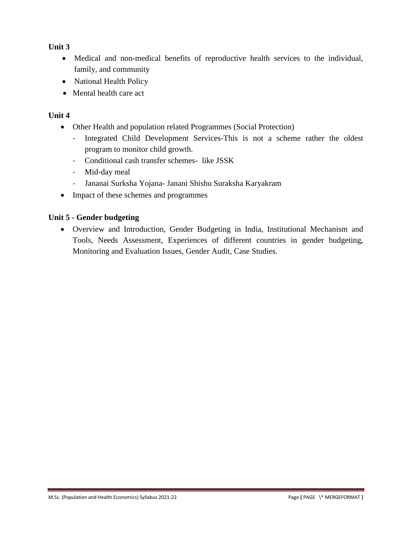**Unit 3**

- Medical and non-medical benefits of reproductive health services to the individual, family, and community
- National Health Policy
- Mental health care act

# **Unit 4**

- Other Health and population related Programmes (Social Protection)
	- Integrated Child Development Services-This is not a scheme rather the oldest program to monitor child growth.
	- Conditional cash transfer schemes- like JSSK
	- Mid-day meal
	- Jananai Surksha Yojana- Janani Shishu Suraksha Karyakram
- Impact of these schemes and programmes

## **Unit 5 - Gender budgeting**

 Overview and Introduction, Gender Budgeting in India, Institutional Mechanism and Tools, Needs Assessment, Experiences of different countries in gender budgeting, Monitoring and Evaluation Issues, Gender Audit, Case Studies.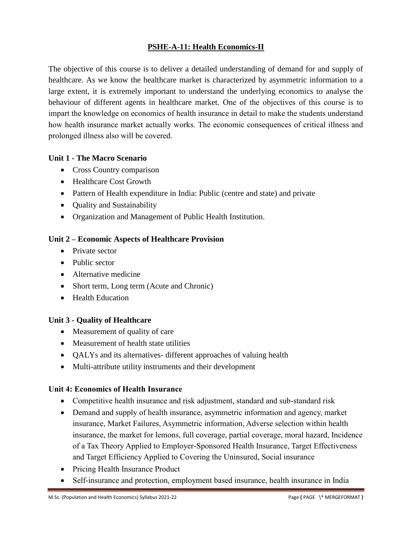# **PSHE-A-11: Health Economics-II**

The objective of this course is to deliver a detailed understanding of demand for and supply of healthcare. As we know the healthcare market is characterized by asymmetric information to a large extent, it is extremely important to understand the underlying economics to analyse the behaviour of different agents in healthcare market. One of the objectives of this course is to impart the knowledge on economics of health insurance in detail to make the students understand how health insurance market actually works. The economic consequences of critical illness and prolonged illness also will be covered.

## **Unit 1 - The Macro Scenario**

- Cross Country comparison
- Healthcare Cost Growth
- Pattern of Health expenditure in India: Public (centre and state) and private
- Quality and Sustainability
- Organization and Management of Public Health Institution.

# **Unit 2 – Economic Aspects of Healthcare Provision**

- Private sector
- Public sector
- Alternative medicine
- Short term, Long term (Acute and Chronic)
- Health Education

# **Unit 3 - Quality of Healthcare**

- Measurement of quality of care
- Measurement of health state utilities
- QALYs and its alternatives- different approaches of valuing health
- Multi-attribute utility instruments and their development

# **Unit 4: Economics of Health Insurance**

- Competitive health insurance and risk adjustment, standard and sub-standard risk
- Demand and supply of health insurance, asymmetric information and agency, market insurance, Market Failures, Asymmetric information, Adverse selection within health insurance, the market for lemons, full coverage, partial coverage, moral hazard, Incidence of a Tax Theory Applied to Employer-Sponsored Health Insurance, Target Effectiveness and Target Efficiency Applied to Covering the Uninsured, Social insurance
- Pricing Health Insurance Product
- Self-insurance and protection, employment based insurance, health insurance in India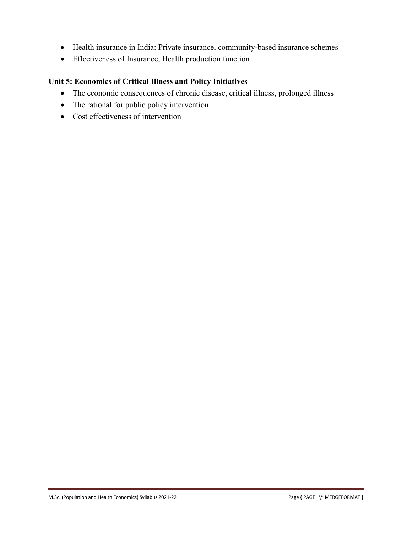- Health insurance in India: Private insurance, community-based insurance schemes
- Effectiveness of Insurance, Health production function

## **Unit 5: Economics of Critical Illness and Policy Initiatives**

- The economic consequences of chronic disease, critical illness, prolonged illness
- The rational for public policy intervention
- Cost effectiveness of intervention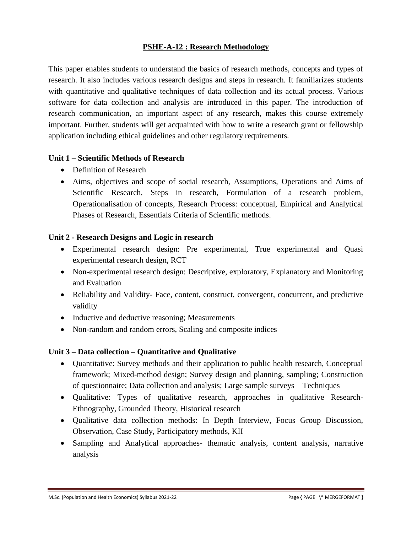## **PSHE-A-12 : Research Methodology**

This paper enables students to understand the basics of research methods, concepts and types of research. It also includes various research designs and steps in research. It familiarizes students with quantitative and qualitative techniques of data collection and its actual process. Various software for data collection and analysis are introduced in this paper. The introduction of research communication, an important aspect of any research, makes this course extremely important. Further, students will get acquainted with how to write a research grant or fellowship application including ethical guidelines and other regulatory requirements.

#### **Unit 1 – Scientific Methods of Research**

- Definition of Research
- Aims, objectives and scope of social research, Assumptions, Operations and Aims of Scientific Research, Steps in research, Formulation of a research problem, Operationalisation of concepts, Research Process: conceptual, Empirical and Analytical Phases of Research, Essentials Criteria of Scientific methods.

#### **Unit 2 - Research Designs and Logic in research**

- Experimental research design: Pre experimental, True experimental and Quasi experimental research design, RCT
- Non-experimental research design: Descriptive, exploratory, Explanatory and Monitoring and Evaluation
- Reliability and Validity- Face, content, construct, convergent, concurrent, and predictive validity
- Inductive and deductive reasoning; Measurements
- Non-random and random errors, Scaling and composite indices

# **Unit 3 – Data collection – Quantitative and Qualitative**

- Quantitative: Survey methods and their application to public health research, Conceptual framework; Mixed-method design; Survey design and planning, sampling; Construction of questionnaire; Data collection and analysis; Large sample surveys – Techniques
- Qualitative: Types of qualitative research, approaches in qualitative Research-Ethnography, Grounded Theory, Historical research
- Qualitative data collection methods: In Depth Interview, Focus Group Discussion, Observation, Case Study, Participatory methods, KII
- Sampling and Analytical approaches- thematic analysis, content analysis, narrative analysis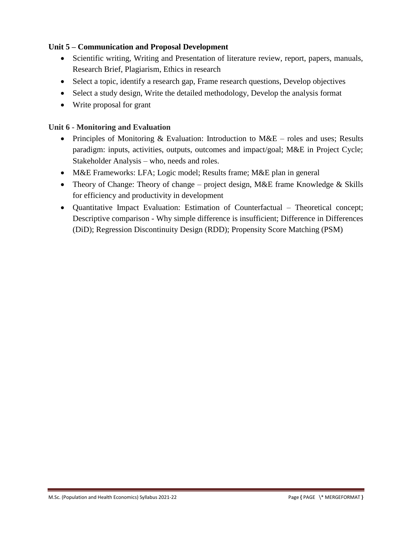## **Unit 5 – Communication and Proposal Development**

- Scientific writing, Writing and Presentation of literature review, report, papers, manuals, Research Brief, Plagiarism, Ethics in research
- Select a topic, identify a research gap, Frame research questions, Develop objectives
- Select a study design, Write the detailed methodology, Develop the analysis format
- Write proposal for grant

## **Unit 6 - Monitoring and Evaluation**

- Principles of Monitoring & Evaluation: Introduction to  $M\&E$  roles and uses; Results paradigm: inputs, activities, outputs, outcomes and impact/goal; M&E in Project Cycle; Stakeholder Analysis – who, needs and roles.
- M&E Frameworks: LFA; Logic model; Results frame; M&E plan in general
- Theory of Change: Theory of change project design, M&E frame Knowledge & Skills for efficiency and productivity in development
- Quantitative Impact Evaluation: Estimation of Counterfactual Theoretical concept; Descriptive comparison - Why simple difference is insufficient; Difference in Differences (DiD); Regression Discontinuity Design (RDD); Propensity Score Matching (PSM)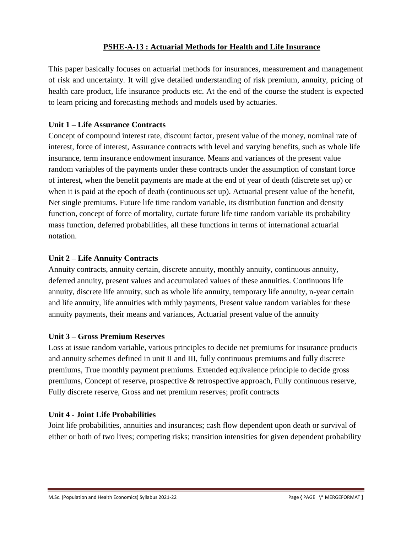## **PSHE-A-13 : Actuarial Methods for Health and Life Insurance**

This paper basically focuses on actuarial methods for insurances, measurement and management of risk and uncertainty. It will give detailed understanding of risk premium, annuity, pricing of health care product, life insurance products etc. At the end of the course the student is expected to learn pricing and forecasting methods and models used by actuaries.

#### **Unit 1 – Life Assurance Contracts**

Concept of compound interest rate, discount factor, present value of the money, nominal rate of interest, force of interest, Assurance contracts with level and varying benefits, such as whole life insurance, term insurance endowment insurance. Means and variances of the present value random variables of the payments under these contracts under the assumption of constant force of interest, when the benefit payments are made at the end of year of death (discrete set up) or when it is paid at the epoch of death (continuous set up). Actuarial present value of the benefit, Net single premiums. Future life time random variable, its distribution function and density function, concept of force of mortality, curtate future life time random variable its probability mass function, deferred probabilities, all these functions in terms of international actuarial notation.

#### **Unit 2 – Life Annuity Contracts**

Annuity contracts, annuity certain, discrete annuity, monthly annuity, continuous annuity, deferred annuity, present values and accumulated values of these annuities. Continuous life annuity, discrete life annuity, such as whole life annuity, temporary life annuity, n-year certain and life annuity, life annuities with mthly payments, Present value random variables for these annuity payments, their means and variances, Actuarial present value of the annuity

#### **Unit 3 – Gross Premium Reserves**

Loss at issue random variable, various principles to decide net premiums for insurance products and annuity schemes defined in unit II and III, fully continuous premiums and fully discrete premiums, True monthly payment premiums. Extended equivalence principle to decide gross premiums, Concept of reserve, prospective & retrospective approach, Fully continuous reserve, Fully discrete reserve, Gross and net premium reserves; profit contracts

#### **Unit 4 - Joint Life Probabilities**

Joint life probabilities, annuities and insurances; cash flow dependent upon death or survival of either or both of two lives; competing risks; transition intensities for given dependent probability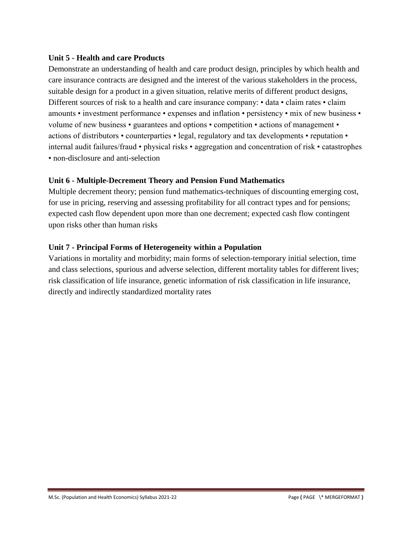#### **Unit 5 - Health and care Products**

Demonstrate an understanding of health and care product design, principles by which health and care insurance contracts are designed and the interest of the various stakeholders in the process, suitable design for a product in a given situation, relative merits of different product designs, Different sources of risk to a health and care insurance company: • data • claim rates • claim amounts • investment performance • expenses and inflation • persistency • mix of new business • volume of new business • guarantees and options • competition • actions of management • actions of distributors • counterparties • legal, regulatory and tax developments • reputation • internal audit failures/fraud • physical risks • aggregation and concentration of risk • catastrophes • non-disclosure and anti-selection

#### **Unit 6 - Multiple-Decrement Theory and Pension Fund Mathematics**

Multiple decrement theory; pension fund mathematics-techniques of discounting emerging cost, for use in pricing, reserving and assessing profitability for all contract types and for pensions; expected cash flow dependent upon more than one decrement; expected cash flow contingent upon risks other than human risks

#### **Unit 7 - Principal Forms of Heterogeneity within a Population**

Variations in mortality and morbidity; main forms of selection-temporary initial selection, time and class selections, spurious and adverse selection, different mortality tables for different lives; risk classification of life insurance, genetic information of risk classification in life insurance, directly and indirectly standardized mortality rates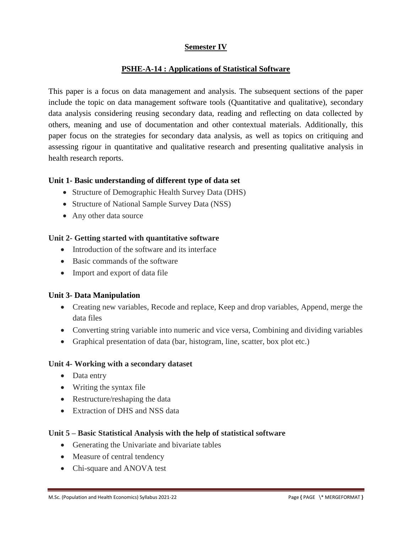## **Semester IV**

## **PSHE-A-14 : Applications of Statistical Software**

This paper is a focus on data management and analysis. The subsequent sections of the paper include the topic on data management software tools (Quantitative and qualitative), secondary data analysis considering reusing secondary data, reading and reflecting on data collected by others, meaning and use of documentation and other contextual materials. Additionally, this paper focus on the strategies for secondary data analysis, as well as topics on critiquing and assessing rigour in quantitative and qualitative research and presenting qualitative analysis in health research reports.

#### **Unit 1- Basic understanding of different type of data set**

- Structure of Demographic Health Survey Data (DHS)
- Structure of National Sample Survey Data (NSS)
- Any other data source

## **Unit 2- Getting started with quantitative software**

- Introduction of the software and its interface
- Basic commands of the software
- Import and export of data file

#### **Unit 3- Data Manipulation**

- Creating new variables, Recode and replace, Keep and drop variables, Append, merge the data files
- Converting string variable into numeric and vice versa, Combining and dividing variables
- Graphical presentation of data (bar, histogram, line, scatter, box plot etc.)

#### **Unit 4- Working with a secondary dataset**

- Data entry
- Writing the syntax file
- Restructure/reshaping the data
- Extraction of DHS and NSS data

#### **Unit 5 – Basic Statistical Analysis with the help of statistical software**

- Generating the Univariate and bivariate tables
- Measure of central tendency
- Chi-square and ANOVA test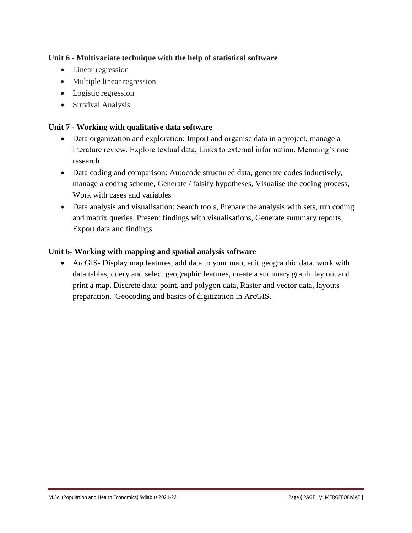## **Unit 6 - Multivariate technique with the help of statistical software**

- Linear regression
- Multiple linear regression
- Logistic regression
- Survival Analysis

#### **Unit 7 - Working with qualitative data software**

- Data organization and exploration: Import and organise data in a project, manage a literature review, Explore textual data, Links to external information, Memoing's one research
- Data coding and comparison: Autocode structured data, generate codes inductively, manage a coding scheme, Generate / falsify hypotheses, Visualise the coding process, Work with cases and variables
- Data analysis and visualisation: Search tools, Prepare the analysis with sets, run coding and matrix queries, Present findings with visualisations, Generate summary reports, Export data and findings

#### **Unit 6- Working with mapping and spatial analysis software**

 ArcGIS- Display map features, add data to your map, edit geographic data, work with data tables, query and select geographic features, create a summary graph. lay out and print a map. Discrete data: point, and polygon data, Raster and vector data, layouts preparation. Geocoding and basics of digitization in ArcGIS.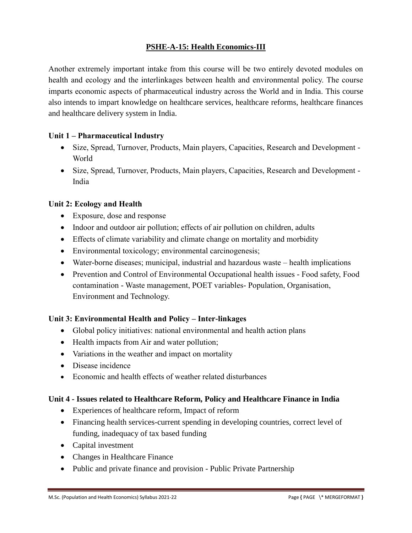# **PSHE-A-15: Health Economics-III**

Another extremely important intake from this course will be two entirely devoted modules on health and ecology and the interlinkages between health and environmental policy. The course imparts economic aspects of pharmaceutical industry across the World and in India. This course also intends to impart knowledge on healthcare services, healthcare reforms, healthcare finances and healthcare delivery system in India.

## **Unit 1 – Pharmaceutical Industry**

- Size, Spread, Turnover, Products, Main players, Capacities, Research and Development -World
- Size, Spread, Turnover, Products, Main players, Capacities, Research and Development India

## **Unit 2: Ecology and Health**

- Exposure, dose and response
- Indoor and outdoor air pollution; effects of air pollution on children, adults
- Effects of climate variability and climate change on mortality and morbidity
- Environmental toxicology; environmental carcinogenesis;
- Water-borne diseases; municipal, industrial and hazardous waste health implications
- Prevention and Control of Environmental Occupational health issues Food safety, Food contamination - Waste management, POET variables- Population, Organisation, Environment and Technology.

#### **Unit 3: Environmental Health and Policy – Inter-linkages**

- Global policy initiatives: national environmental and health action plans
- Health impacts from Air and water pollution;
- Variations in the weather and impact on mortality
- Disease incidence
- Economic and health effects of weather related disturbances

#### **Unit 4 - Issues related to Healthcare Reform, Policy and Healthcare Finance in India**

- Experiences of healthcare reform, Impact of reform
- Financing health services-current spending in developing countries, correct level of funding, inadequacy of tax based funding
- Capital investment
- Changes in Healthcare Finance
- Public and private finance and provision Public Private Partnership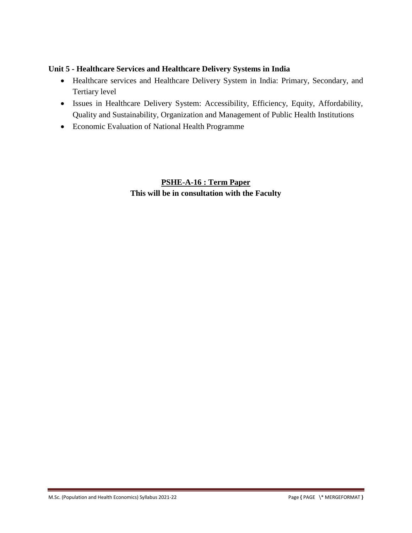#### **Unit 5 - Healthcare Services and Healthcare Delivery Systems in India**

- Healthcare services and Healthcare Delivery System in India: Primary, Secondary, and Tertiary level
- Issues in Healthcare Delivery System: Accessibility, Efficiency, Equity, Affordability, Quality and Sustainability, Organization and Management of Public Health Institutions
- Economic Evaluation of National Health Programme

**PSHE-A-16 : Term Paper This will be in consultation with the Faculty**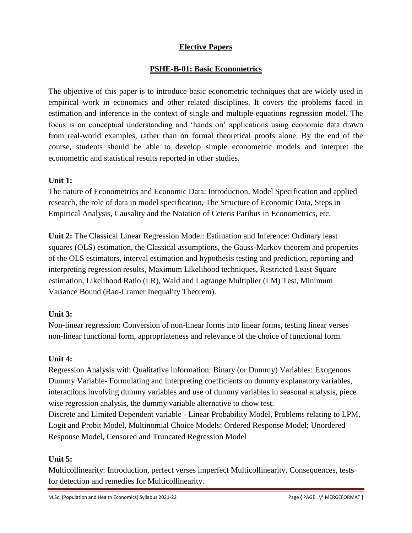# **Elective Papers**

# **PSHE-B-01: Basic Econometrics**

The objective of this paper is to introduce basic econometric techniques that are widely used in empirical work in economics and other related disciplines. It covers the problems faced in estimation and inference in the context of single and multiple equations regression model. The focus is on conceptual understanding and 'hands on' applications using economic data drawn from real-world examples, rather than on formal theoretical proofs alone. By the end of the course, students should be able to develop simple econometric models and interpret the econometric and statistical results reported in other studies.

## **Unit 1:**

The nature of Econometrics and Economic Data: Introduction, Model Specification and applied research, the role of data in model specification, The Structure of Economic Data, Steps in Empirical Analysis, Causality and the Notation of Ceteris Paribus in Econometrics, etc.

**Unit 2:** The Classical Linear Regression Model: Estimation and Inference: Ordinary least squares (OLS) estimation, the Classical assumptions, the Gauss-Markov theorem and properties of the OLS estimators, interval estimation and hypothesis testing and prediction, reporting and interpreting regression results, Maximum Likelihood techniques, Restricted Least Square estimation, Likelihood Ratio (LR), Wald and Lagrange Multiplier (LM) Test, Minimum Variance Bound (Rao-Cramer Inequality Theorem).

# **Unit 3:**

Non-linear regression: Conversion of non-linear forms into linear forms, testing linear verses non-linear functional form, appropriateness and relevance of the choice of functional form.

# **Unit 4:**

Regression Analysis with Qualitative information: Binary (or Dummy) Variables: Exogenous Dummy Variable- Formulating and interpreting coefficients on dummy explanatory variables, interactions involving dummy variables and use of dummy variables in seasonal analysis, piece wise regression analysis, the dummy variable alternative to chow test.

Discrete and Limited Dependent variable - Linear Probability Model, Problems relating to LPM, Logit and Probit Model, Multinomial Choice Models: Ordered Response Model; Unordered Response Model, Censored and Truncated Regression Model

# **Unit 5:**

Multicollinearity: Introduction, perfect verses imperfect Multicollinearity, Consequences, tests for detection and remedies for Multicollinearity.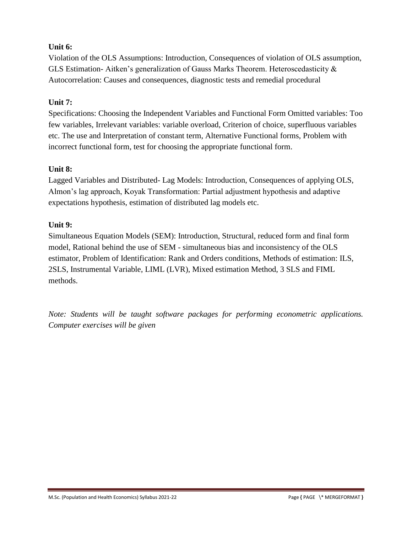# **Unit 6:**

Violation of the OLS Assumptions: Introduction, Consequences of violation of OLS assumption, GLS Estimation- Aitken's generalization of Gauss Marks Theorem. Heteroscedasticity & Autocorrelation: Causes and consequences, diagnostic tests and remedial procedural

#### **Unit 7:**

Specifications: Choosing the Independent Variables and Functional Form Omitted variables: Too few variables, Irrelevant variables: variable overload, Criterion of choice, superfluous variables etc. The use and Interpretation of constant term, Alternative Functional forms, Problem with incorrect functional form, test for choosing the appropriate functional form.

#### **Unit 8:**

Lagged Variables and Distributed- Lag Models: Introduction, Consequences of applying OLS, Almon's lag approach, Koyak Transformation: Partial adjustment hypothesis and adaptive expectations hypothesis, estimation of distributed lag models etc.

#### **Unit 9:**

Simultaneous Equation Models (SEM): Introduction, Structural, reduced form and final form model, Rational behind the use of SEM - simultaneous bias and inconsistency of the OLS estimator, Problem of Identification: Rank and Orders conditions, Methods of estimation: ILS, 2SLS, Instrumental Variable, LIML (LVR), Mixed estimation Method, 3 SLS and FIML methods.

*Note: Students will be taught software packages for performing econometric applications. Computer exercises will be given*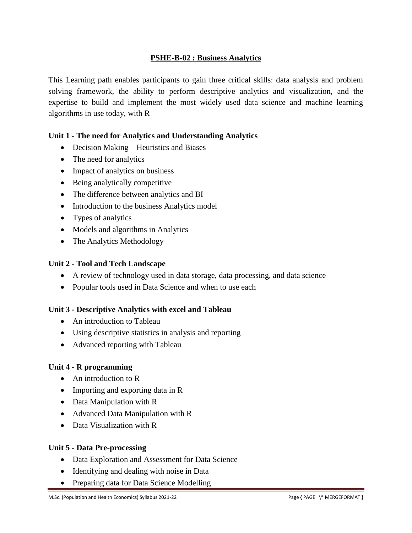# **PSHE-B-02 : Business Analytics**

This Learning path enables participants to gain three critical skills: data analysis and problem solving framework, the ability to perform descriptive analytics and visualization, and the expertise to build and implement the most widely used data science and machine learning algorithms in use today, with R

#### **Unit 1 - The need for Analytics and Understanding Analytics**

- Decision Making Heuristics and Biases
- The need for analytics
- Impact of analytics on business
- Being analytically competitive
- The difference between analytics and BI
- Introduction to the business Analytics model
- Types of analytics
- Models and algorithms in Analytics
- The Analytics Methodology

#### **Unit 2 - Tool and Tech Landscape**

- A review of technology used in data storage, data processing, and data science
- Popular tools used in Data Science and when to use each

#### **Unit 3 - Descriptive Analytics with excel and Tableau**

- An introduction to Tableau
- Using descriptive statistics in analysis and reporting
- Advanced reporting with Tableau

#### **Unit 4 - R programming**

- An introduction to R
- Importing and exporting data in R
- Data Manipulation with R
- Advanced Data Manipulation with R
- Data Visualization with R

#### **Unit 5 - Data Pre-processing**

- Data Exploration and Assessment for Data Science
- Identifying and dealing with noise in Data
- Preparing data for Data Science Modelling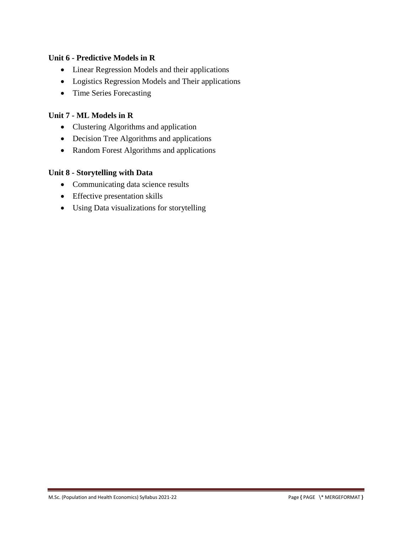#### **Unit 6 - Predictive Models in R**

- Linear Regression Models and their applications
- Logistics Regression Models and Their applications
- Time Series Forecasting

## **Unit 7 - ML Models in R**

- Clustering Algorithms and application
- Decision Tree Algorithms and applications
- Random Forest Algorithms and applications

#### **Unit 8 - Storytelling with Data**

- Communicating data science results
- Effective presentation skills
- Using Data visualizations for storytelling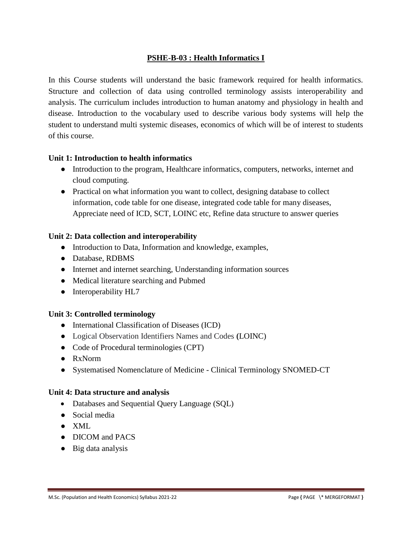# **PSHE-B-03 : Health Informatics I**

In this Course students will understand the basic framework required for health informatics. Structure and collection of data using controlled terminology assists interoperability and analysis. The curriculum includes introduction to human anatomy and physiology in health and disease. Introduction to the vocabulary used to describe various body systems will help the student to understand multi systemic diseases, economics of which will be of interest to students of this course.

#### **Unit 1: Introduction to health informatics**

- Introduction to the program, Healthcare informatics, computers, networks, internet and cloud computing.
- Practical on what information you want to collect, designing database to collect information, code table for one disease, integrated code table for many diseases, Appreciate need of ICD, SCT, LOINC etc, Refine data structure to answer queries

#### **Unit 2: Data collection and interoperability**

- Introduction to Data, Information and knowledge, examples,
- Database, RDBMS
- Internet and internet searching, Understanding information sources
- Medical literature searching and Pubmed
- Interoperability HL7

#### **Unit 3: Controlled terminology**

- International Classification of Diseases (ICD)
- Logical Observation Identifiers Names and Codes **(**LOINC)
- Code of Procedural terminologies (CPT)
- RxNorm
- Systematised Nomenclature of Medicine Clinical Terminology SNOMED-CT

#### **Unit 4: Data structure and analysis**

- Databases and Sequential Ouery Language (SOL)
- Social media
- XML
- DICOM and PACS
- Big data analysis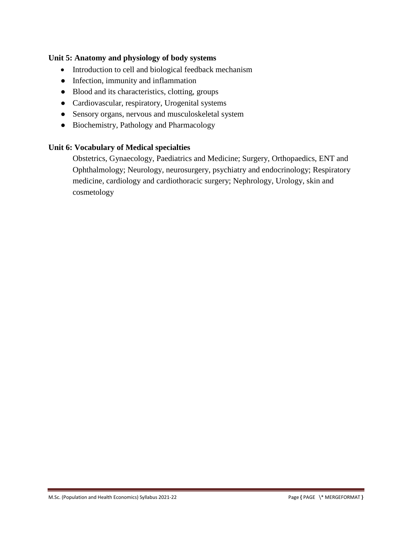# **Unit 5: Anatomy and physiology of body systems**

- Introduction to cell and biological feedback mechanism
- Infection, immunity and inflammation
- Blood and its characteristics, clotting, groups
- Cardiovascular, respiratory, Urogenital systems
- Sensory organs, nervous and musculoskeletal system
- Biochemistry, Pathology and Pharmacology

#### **Unit 6: Vocabulary of Medical specialties**

Obstetrics, Gynaecology, Paediatrics and Medicine; Surgery, Orthopaedics, ENT and Ophthalmology; Neurology, neurosurgery, psychiatry and endocrinology; Respiratory medicine, cardiology and cardiothoracic surgery; Nephrology, Urology, skin and cosmetology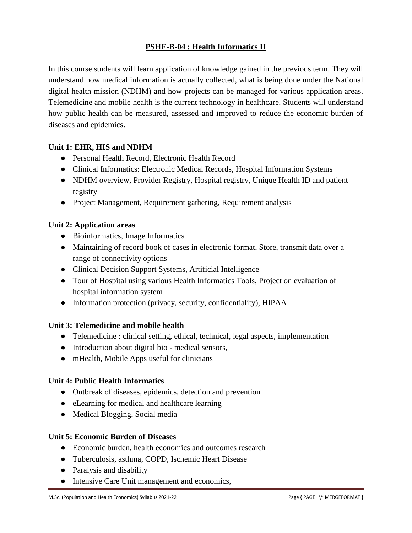# **PSHE-B-04 : Health Informatics II**

In this course students will learn application of knowledge gained in the previous term. They will understand how medical information is actually collected, what is being done under the National digital health mission (NDHM) and how projects can be managed for various application areas. Telemedicine and mobile health is the current technology in healthcare. Students will understand how public health can be measured, assessed and improved to reduce the economic burden of diseases and epidemics.

## **Unit 1: EHR, HIS and NDHM**

- Personal Health Record, Electronic Health Record
- Clinical Informatics: Electronic Medical Records, Hospital Information Systems
- NDHM overview, Provider Registry, Hospital registry, Unique Health ID and patient registry
- Project Management, Requirement gathering, Requirement analysis

## **Unit 2: Application areas**

- Bioinformatics, Image Informatics
- Maintaining of record book of cases in electronic format, Store, transmit data over a range of connectivity options
- Clinical Decision Support Systems, Artificial Intelligence
- Tour of Hospital using various Health Informatics Tools, Project on evaluation of hospital information system
- Information protection (privacy, security, confidentiality), HIPAA

#### **Unit 3: Telemedicine and mobile health**

- Telemedicine : clinical setting, ethical, technical, legal aspects, implementation
- Introduction about digital bio medical sensors,
- mHealth, Mobile Apps useful for clinicians

#### **Unit 4: Public Health Informatics**

- Outbreak of diseases, epidemics, detection and prevention
- eLearning for medical and healthcare learning
- Medical Blogging, Social media

#### **Unit 5: Economic Burden of Diseases**

- Economic burden, health economics and outcomes research
- Tuberculosis, asthma, COPD, Ischemic Heart Disease
- Paralysis and disability
- Intensive Care Unit management and economics,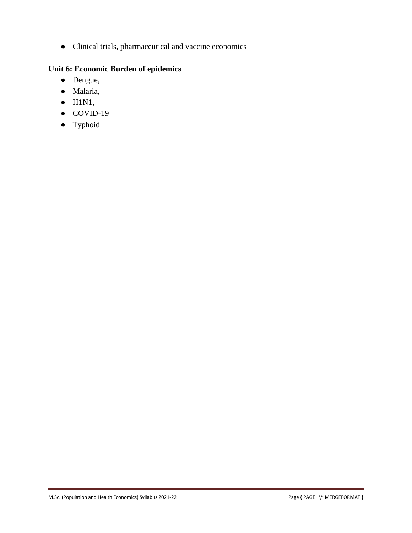● Clinical trials, pharmaceutical and vaccine economics

# **Unit 6: Economic Burden of epidemics**

- Dengue,
- Malaria,
- H1N1,
- COVID-19
- Typhoid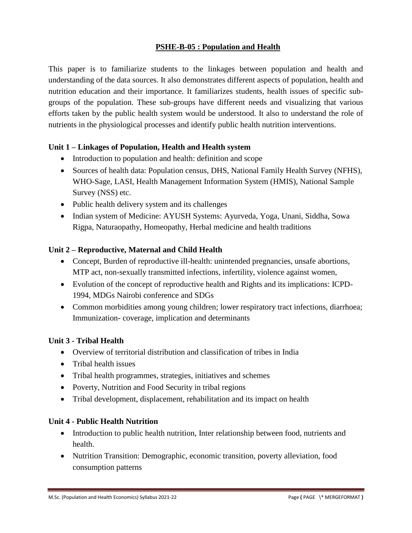# **PSHE-B-05 : Population and Health**

This paper is to familiarize students to the linkages between population and health and understanding of the data sources. It also demonstrates different aspects of population, health and nutrition education and their importance. It familiarizes students, health issues of specific subgroups of the population. These sub-groups have different needs and visualizing that various efforts taken by the public health system would be understood. It also to understand the role of nutrients in the physiological processes and identify public health nutrition interventions.

## **Unit 1 – Linkages of Population, Health and Health system**

- Introduction to population and health: definition and scope
- Sources of health data: Population census, DHS, National Family Health Survey (NFHS), WHO-Sage, LASI, Health Management Information System (HMIS), National Sample Survey (NSS) etc.
- Public health delivery system and its challenges
- Indian system of Medicine: AYUSH Systems: Ayurveda, Yoga, Unani, Siddha, Sowa Rigpa, Naturaopathy, Homeopathy, Herbal medicine and health traditions

## **Unit 2 – Reproductive, Maternal and Child Health**

- Concept, Burden of reproductive ill-health: unintended pregnancies, unsafe abortions, MTP act, non-sexually transmitted infections, infertility, violence against women,
- Evolution of the concept of reproductive health and Rights and its implications: ICPD-1994, MDGs Nairobi conference and SDGs
- Common morbidities among young children; lower respiratory tract infections, diarrhoea; Immunization- coverage, implication and determinants

#### **Unit 3 - Tribal Health**

- Overview of territorial distribution and classification of tribes in India
- Tribal health issues
- Tribal health programmes, strategies, initiatives and schemes
- Poverty, Nutrition and Food Security in tribal regions
- Tribal development, displacement, rehabilitation and its impact on health

#### **Unit 4 - Public Health Nutrition**

- Introduction to public health nutrition, Inter relationship between food, nutrients and health.
- Nutrition Transition: Demographic, economic transition, poverty alleviation, food consumption patterns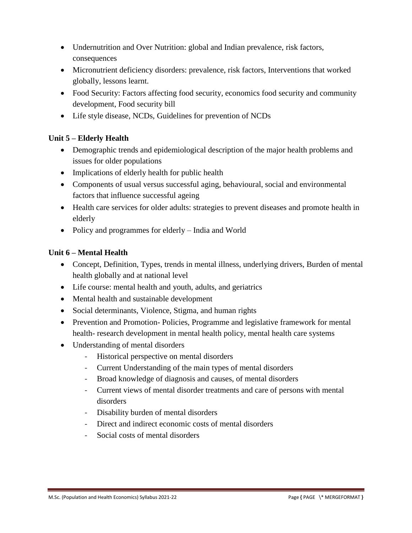- Undernutrition and Over Nutrition: global and Indian prevalence, risk factors, consequences
- Micronutrient deficiency disorders: prevalence, risk factors, Interventions that worked globally, lessons learnt.
- Food Security: Factors affecting food security, economics food security and community development, Food security bill
- Life style disease, NCDs, Guidelines for prevention of NCDs

# **Unit 5 – Elderly Health**

- Demographic trends and epidemiological description of the major health problems and issues for older populations
- Implications of elderly health for public health
- Components of usual versus successful aging, behavioural, social and environmental factors that influence successful ageing
- Health care services for older adults: strategies to prevent diseases and promote health in elderly
- Policy and programmes for elderly India and World

# **Unit 6 – Mental Health**

- Concept, Definition, Types, trends in mental illness, underlying drivers, Burden of mental health globally and at national level
- Life course: mental health and youth, adults, and geriatrics
- Mental health and sustainable development
- Social determinants, Violence, Stigma, and human rights
- Prevention and Promotion-Policies, Programme and legislative framework for mental health- research development in mental health policy, mental health care systems
- Understanding of mental disorders
	- Historical perspective on mental disorders
	- Current Understanding of the main types of mental disorders
	- Broad knowledge of diagnosis and causes, of mental disorders
	- Current views of mental disorder treatments and care of persons with mental disorders
	- Disability burden of mental disorders
	- Direct and indirect economic costs of mental disorders
	- Social costs of mental disorders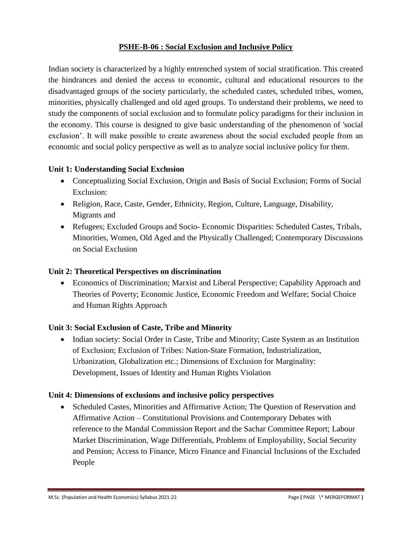## **PSHE-B-06 : Social Exclusion and Inclusive Policy**

Indian society is characterized by a highly entrenched system of social stratification. This created the hindrances and denied the access to economic, cultural and educational resources to the disadvantaged groups of the society particularly, the scheduled castes, scheduled tribes, women, minorities, physically challenged and old aged groups. To understand their problems, we need to study the components of social exclusion and to formulate policy paradigms for their inclusion in the economy. This course is designed to give basic understanding of the phenomenon of 'social exclusion'. It will make possible to create awareness about the social excluded people from an economic and social policy perspective as well as to analyze social inclusive policy for them.

#### **Unit 1: Understanding Social Exclusion**

- Conceptualizing Social Exclusion, Origin and Basis of Social Exclusion; Forms of Social Exclusion:
- Religion, Race, Caste, Gender, Ethnicity, Region, Culture, Language, Disability, Migrants and
- Refugees; Excluded Groups and Socio- Economic Disparities: Scheduled Castes, Tribals, Minorities, Women, Old Aged and the Physically Challenged; Contemporary Discussions on Social Exclusion

#### **Unit 2: Theoretical Perspectives on discrimination**

 Economics of Discrimination; Marxist and Liberal Perspective; Capability Approach and Theories of Poverty; Economic Justice, Economic Freedom and Welfare; Social Choice and Human Rights Approach

#### **Unit 3: Social Exclusion of Caste, Tribe and Minority**

• Indian society: Social Order in Caste, Tribe and Minority; Caste System as an Institution of Exclusion; Exclusion of Tribes: Nation-State Formation, Industrialization, Urbanization, Globalization etc.; Dimensions of Exclusion for Marginality: Development, Issues of Identity and Human Rights Violation

#### **Unit 4: Dimensions of exclusions and inclusive policy perspectives**

 Scheduled Castes, Minorities and Affirmative Action; The Question of Reservation and Affirmative Action – Constitutional Provisions and Contemporary Debates with reference to the Mandal Commission Report and the Sachar Committee Report; Labour Market Discrimination, Wage Differentials, Problems of Employability, Social Security and Pension; Access to Finance, Micro Finance and Financial Inclusions of the Excluded People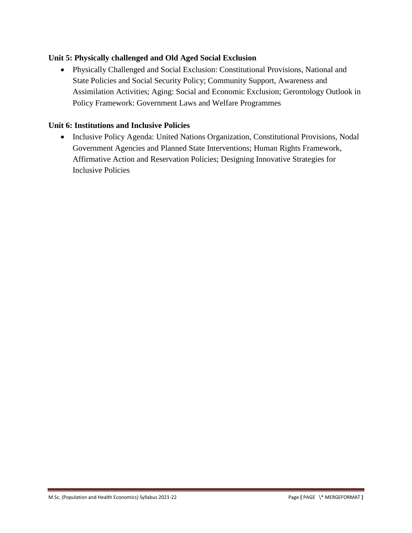## **Unit 5: Physically challenged and Old Aged Social Exclusion**

 Physically Challenged and Social Exclusion: Constitutional Provisions, National and State Policies and Social Security Policy; Community Support, Awareness and Assimilation Activities; Aging: Social and Economic Exclusion; Gerontology Outlook in Policy Framework: Government Laws and Welfare Programmes

## **Unit 6: Institutions and Inclusive Policies**

• Inclusive Policy Agenda: United Nations Organization, Constitutional Provisions, Nodal Government Agencies and Planned State Interventions; Human Rights Framework, Affirmative Action and Reservation Policies; Designing Innovative Strategies for Inclusive Policies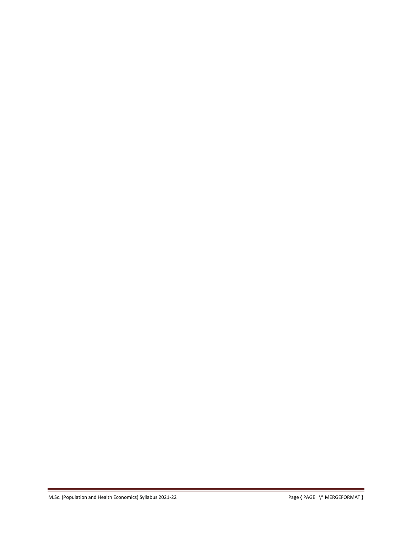m.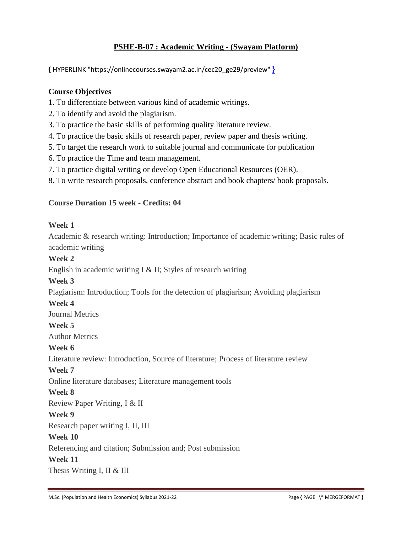# **PSHE-B-07 : Academic Writing - (Swayam Platform)**

**{** [HYPERLINK "https://onlinecourses.swayam2.ac.in/cec20\\_ge29/preview"](https://onlinecourses.swayam2.ac.in/cec20_ge29/preview) **}**

#### **Course Objectives**

- 1. To differentiate between various kind of academic writings.
- 2. To identify and avoid the plagiarism.
- 3. To practice the basic skills of performing quality literature review.
- 4. To practice the basic skills of research paper, review paper and thesis writing.
- 5. To target the research work to suitable journal and communicate for publication
- 6. To practice the Time and team management.
- 7. To practice digital writing or develop Open Educational Resources (OER).
- 8. To write research proposals, conference abstract and book chapters/ book proposals.

#### **Course Duration 15 week - Credits: 04**

#### **Week 1**

**Week 2**

Academic & research writing: Introduction; Importance of academic writing; Basic rules of academic writing

# English in academic writing I & II; Styles of research writing **Week 3**

Plagiarism: Introduction; Tools for the detection of plagiarism; Avoiding plagiarism

#### **Week 4**

Journal Metrics

#### **Week 5**

Author Metrics

#### **Week 6**

Literature review: Introduction, Source of literature; Process of literature review

#### **Week 7**

Online literature databases; Literature management tools

#### **Week 8**

Review Paper Writing, I & II

#### **Week 9**

Research paper writing I, II, III

#### **Week 10**

Referencing and citation; Submission and; Post submission

#### **Week 11**

Thesis Writing I, II & III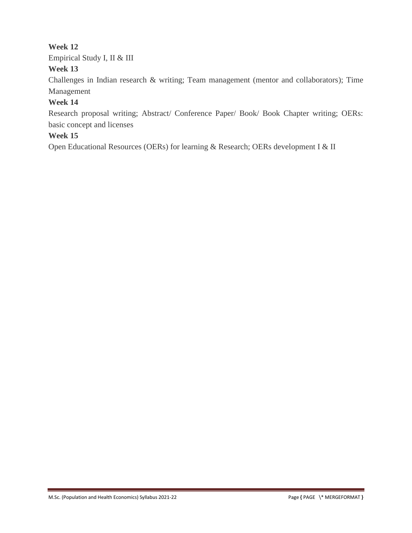# **Week 12**

Empirical Study I, II & III

# **Week 13**

Challenges in Indian research & writing; Team management (mentor and collaborators); Time Management

# **Week 14**

Research proposal writing; Abstract/ Conference Paper/ Book/ Book Chapter writing; OERs: basic concept and licenses

# **Week 15**

Open Educational Resources (OERs) for learning & Research; OERs development I & II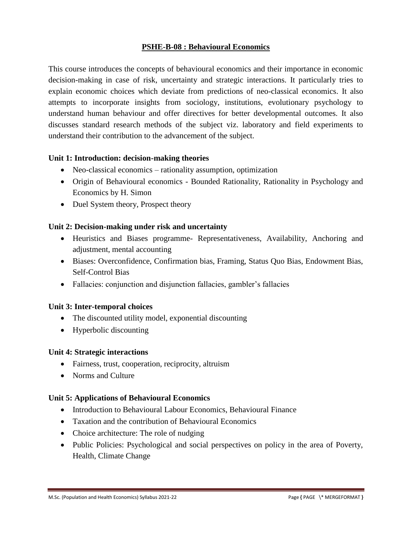## **PSHE-B-08 : Behavioural Economics**

This course introduces the concepts of behavioural economics and their importance in economic decision-making in case of risk, uncertainty and strategic interactions. It particularly tries to explain economic choices which deviate from predictions of neo-classical economics. It also attempts to incorporate insights from sociology, institutions, evolutionary psychology to understand human behaviour and offer directives for better developmental outcomes. It also discusses standard research methods of the subject viz. laboratory and field experiments to understand their contribution to the advancement of the subject.

#### **Unit 1: Introduction: decision-making theories**

- Neo-classical economics rationality assumption, optimization
- Origin of Behavioural economics Bounded Rationality, Rationality in Psychology and Economics by H. Simon
- Duel System theory, Prospect theory

#### **Unit 2: Decision-making under risk and uncertainty**

- Heuristics and Biases programme- Representativeness, Availability, Anchoring and adjustment, mental accounting
- Biases: Overconfidence, Confirmation bias, Framing, Status Quo Bias, Endowment Bias, Self-Control Bias
- Fallacies: conjunction and disjunction fallacies, gambler's fallacies

#### **Unit 3: Inter-temporal choices**

- The discounted utility model, exponential discounting
- Hyperbolic discounting

#### **Unit 4: Strategic interactions**

- Fairness, trust, cooperation, reciprocity, altruism
- Norms and Culture

#### **Unit 5: Applications of Behavioural Economics**

- Introduction to Behavioural Labour Economics, Behavioural Finance
- Taxation and the contribution of Behavioural Economics
- Choice architecture: The role of nudging
- Public Policies: Psychological and social perspectives on policy in the area of Poverty, Health, Climate Change